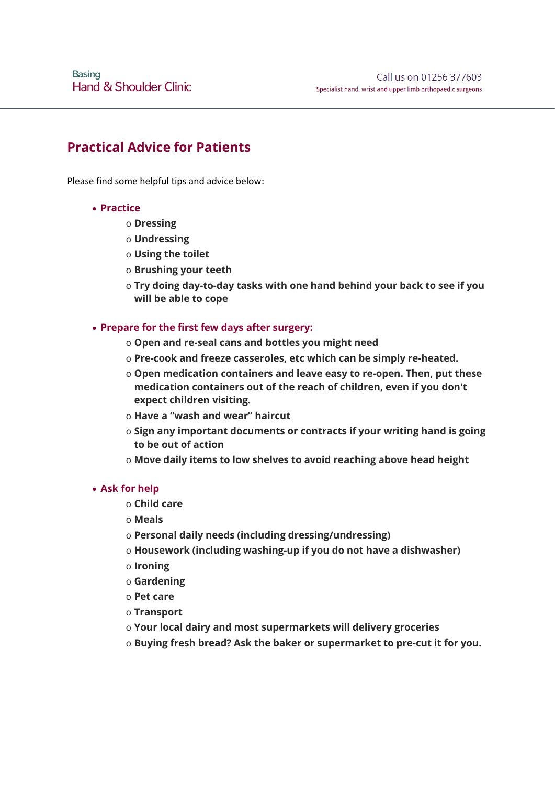# **Practical Advice for Patients**

Please find some helpful tips and advice below:

### • **Practice**

- o **Dressing**
- o **Undressing**
- o **Using the toilet**
- o **Brushing your teeth**
- o **Try doing day-to-day tasks with one hand behind your back to see if you will be able to cope**

### • **Prepare for the first few days after surgery:**

- o **Open and re-seal cans and bottles you might need**
- o **Pre-cook and freeze casseroles, etc which can be simply re-heated.**
- o **Open medication containers and leave easy to re-open. Then, put these medication containers out of the reach of children, even if you don't expect children visiting.**
- o **Have a "wash and wear" haircut**
- o **Sign any important documents or contracts if your writing hand is going to be out of action**
- o **Move daily items to low shelves to avoid reaching above head height**

#### • **Ask for help**

- o **Child care**
- o **Meals**
- o **Personal daily needs (including dressing/undressing)**
- o **Housework (including washing-up if you do not have a dishwasher)**
- o **Ironing**
- o **Gardening**
- o **Pet care**
- o **Transport**
- o **Your local dairy and most supermarkets will delivery groceries**
- o **Buying fresh bread? Ask the baker or supermarket to pre-cut it for you.**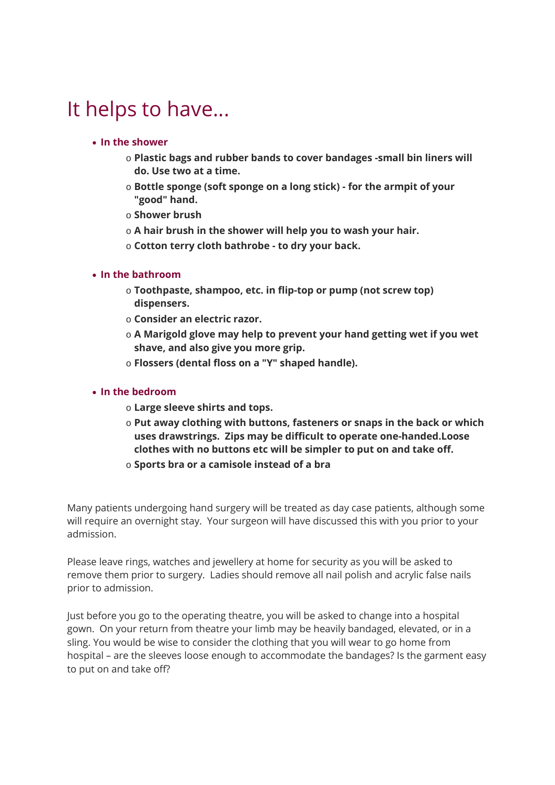# It helps to have...

## • **In the shower**

- o **Plastic bags and rubber bands to cover bandages -small bin liners will do. Use two at a time.**
- o **Bottle sponge (soft sponge on a long stick) - for the armpit of your "good" hand.**
- o **Shower brush**
- o **A hair brush in the shower will help you to wash your hair.**
- o **Cotton terry cloth bathrobe - to dry your back.**

## • **In the bathroom**

- o **Toothpaste, shampoo, etc. in flip-top or pump (not screw top) dispensers.**
- o **Consider an electric razor.**
- o **A Marigold glove may help to prevent your hand getting wet if you wet shave, and also give you more grip.**
- o **Flossers (dental floss on a "Y" shaped handle).**

### • **In the bedroom**

- o **Large sleeve shirts and tops.**
- o **Put away clothing with buttons, fasteners or snaps in the back or which uses drawstrings. Zips may be difficult to operate one-handed.Loose clothes with no buttons etc will be simpler to put on and take off.**
- o **Sports bra or a camisole instead of a bra**

Many patients undergoing hand surgery will be treated as day case patients, although some will require an overnight stay. Your surgeon will have discussed this with you prior to your admission.

Please leave rings, watches and jewellery at home for security as you will be asked to remove them prior to surgery. Ladies should remove all nail polish and acrylic false nails prior to admission.

Just before you go to the operating theatre, you will be asked to change into a hospital gown. On your return from theatre your limb may be heavily bandaged, elevated, or in a sling. You would be wise to consider the clothing that you will wear to go home from hospital – are the sleeves loose enough to accommodate the bandages? Is the garment easy to put on and take off?